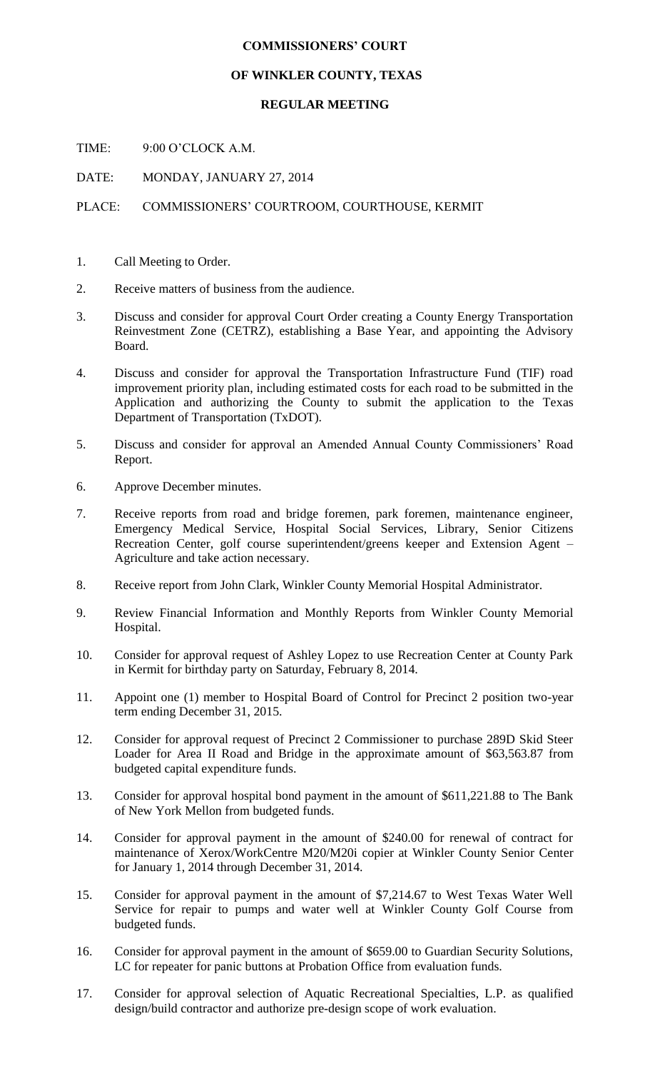## **COMMISSIONERS' COURT**

## **OF WINKLER COUNTY, TEXAS**

## **REGULAR MEETING**

TIME: 9:00 O'CLOCK A.M.

DATE: MONDAY, JANUARY 27, 2014

## PLACE: COMMISSIONERS' COURTROOM, COURTHOUSE, KERMIT

- 1. Call Meeting to Order.
- 2. Receive matters of business from the audience.
- 3. Discuss and consider for approval Court Order creating a County Energy Transportation Reinvestment Zone (CETRZ), establishing a Base Year, and appointing the Advisory Board.
- 4. Discuss and consider for approval the Transportation Infrastructure Fund (TIF) road improvement priority plan, including estimated costs for each road to be submitted in the Application and authorizing the County to submit the application to the Texas Department of Transportation (TxDOT).
- 5. Discuss and consider for approval an Amended Annual County Commissioners' Road Report.
- 6. Approve December minutes.
- 7. Receive reports from road and bridge foremen, park foremen, maintenance engineer, Emergency Medical Service, Hospital Social Services, Library, Senior Citizens Recreation Center, golf course superintendent/greens keeper and Extension Agent – Agriculture and take action necessary.
- 8. Receive report from John Clark, Winkler County Memorial Hospital Administrator.
- 9. Review Financial Information and Monthly Reports from Winkler County Memorial Hospital.
- 10. Consider for approval request of Ashley Lopez to use Recreation Center at County Park in Kermit for birthday party on Saturday, February 8, 2014.
- 11. Appoint one (1) member to Hospital Board of Control for Precinct 2 position two-year term ending December 31, 2015.
- 12. Consider for approval request of Precinct 2 Commissioner to purchase 289D Skid Steer Loader for Area II Road and Bridge in the approximate amount of \$63,563.87 from budgeted capital expenditure funds.
- 13. Consider for approval hospital bond payment in the amount of \$611,221.88 to The Bank of New York Mellon from budgeted funds.
- 14. Consider for approval payment in the amount of \$240.00 for renewal of contract for maintenance of Xerox/WorkCentre M20/M20i copier at Winkler County Senior Center for January 1, 2014 through December 31, 2014.
- 15. Consider for approval payment in the amount of \$7,214.67 to West Texas Water Well Service for repair to pumps and water well at Winkler County Golf Course from budgeted funds.
- 16. Consider for approval payment in the amount of \$659.00 to Guardian Security Solutions, LC for repeater for panic buttons at Probation Office from evaluation funds.
- 17. Consider for approval selection of Aquatic Recreational Specialties, L.P. as qualified design/build contractor and authorize pre-design scope of work evaluation.